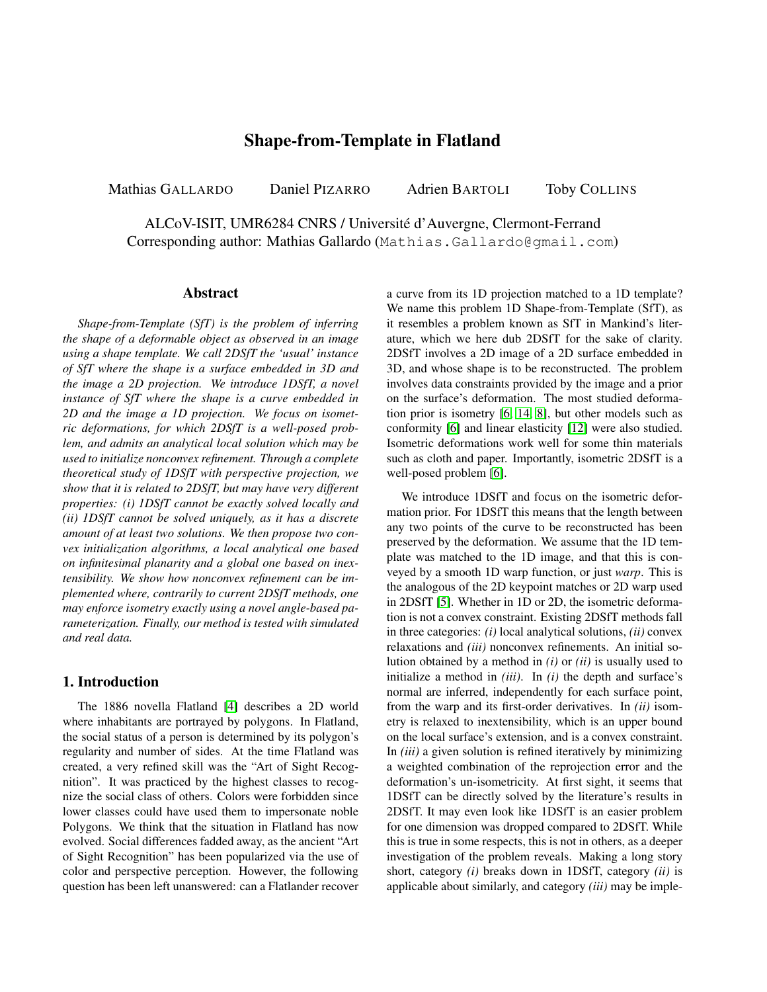# Shape-from-Template in Flatland

Mathias GALLARDO Daniel PIZARRO Adrien BARTOLI Toby COLLINS

ALCoV-ISIT, UMR6284 CNRS / Universite d'Auvergne, Clermont-Ferrand ´ Corresponding author: Mathias Gallardo (Mathias.Gallardo@gmail.com)

### Abstract

*Shape-from-Template (SfT) is the problem of inferring the shape of a deformable object as observed in an image using a shape template. We call 2DSfT the 'usual' instance of SfT where the shape is a surface embedded in 3D and the image a 2D projection. We introduce 1DSfT, a novel instance of SfT where the shape is a curve embedded in 2D and the image a 1D projection. We focus on isometric deformations, for which 2DSfT is a well-posed problem, and admits an analytical local solution which may be used to initialize nonconvex refinement. Through a complete theoretical study of 1DSfT with perspective projection, we show that it is related to 2DSfT, but may have very different properties: (i) 1DSfT cannot be exactly solved locally and (ii) 1DSfT cannot be solved uniquely, as it has a discrete amount of at least two solutions. We then propose two convex initialization algorithms, a local analytical one based on infinitesimal planarity and a global one based on inextensibility. We show how nonconvex refinement can be implemented where, contrarily to current 2DSfT methods, one may enforce isometry exactly using a novel angle-based parameterization. Finally, our method is tested with simulated and real data.*

# 1. Introduction

The 1886 novella Flatland [\[4\]](#page-7-0) describes a 2D world where inhabitants are portrayed by polygons. In Flatland, the social status of a person is determined by its polygon's regularity and number of sides. At the time Flatland was created, a very refined skill was the "Art of Sight Recognition". It was practiced by the highest classes to recognize the social class of others. Colors were forbidden since lower classes could have used them to impersonate noble Polygons. We think that the situation in Flatland has now evolved. Social differences fadded away, as the ancient "Art of Sight Recognition" has been popularized via the use of color and perspective perception. However, the following question has been left unanswered: can a Flatlander recover a curve from its 1D projection matched to a 1D template? We name this problem 1D Shape-from-Template (SfT), as it resembles a problem known as SfT in Mankind's literature, which we here dub 2DSfT for the sake of clarity. 2DSfT involves a 2D image of a 2D surface embedded in 3D, and whose shape is to be reconstructed. The problem involves data constraints provided by the image and a prior on the surface's deformation. The most studied deformation prior is isometry [\[6,](#page-7-1) [14,](#page-7-2) [8\]](#page-7-3), but other models such as conformity [\[6\]](#page-7-1) and linear elasticity [\[12\]](#page-7-4) were also studied. Isometric deformations work well for some thin materials such as cloth and paper. Importantly, isometric 2DSfT is a well-posed problem [\[6\]](#page-7-1).

We introduce 1DSfT and focus on the isometric deformation prior. For 1DSfT this means that the length between any two points of the curve to be reconstructed has been preserved by the deformation. We assume that the 1D template was matched to the 1D image, and that this is conveyed by a smooth 1D warp function, or just *warp*. This is the analogous of the 2D keypoint matches or 2D warp used in 2DSfT [\[5\]](#page-7-5). Whether in 1D or 2D, the isometric deformation is not a convex constraint. Existing 2DSfT methods fall in three categories: *(i)* local analytical solutions, *(ii)* convex relaxations and *(iii)* nonconvex refinements. An initial solution obtained by a method in *(i)* or *(ii)* is usually used to initialize a method in *(iii)*. In *(i)* the depth and surface's normal are inferred, independently for each surface point, from the warp and its first-order derivatives. In *(ii)* isometry is relaxed to inextensibility, which is an upper bound on the local surface's extension, and is a convex constraint. In *(iii)* a given solution is refined iteratively by minimizing a weighted combination of the reprojection error and the deformation's un-isometricity. At first sight, it seems that 1DSfT can be directly solved by the literature's results in 2DSfT. It may even look like 1DSfT is an easier problem for one dimension was dropped compared to 2DSfT. While this is true in some respects, this is not in others, as a deeper investigation of the problem reveals. Making a long story short, category *(i)* breaks down in 1DSfT, category *(ii)* is applicable about similarly, and category *(iii)* may be imple-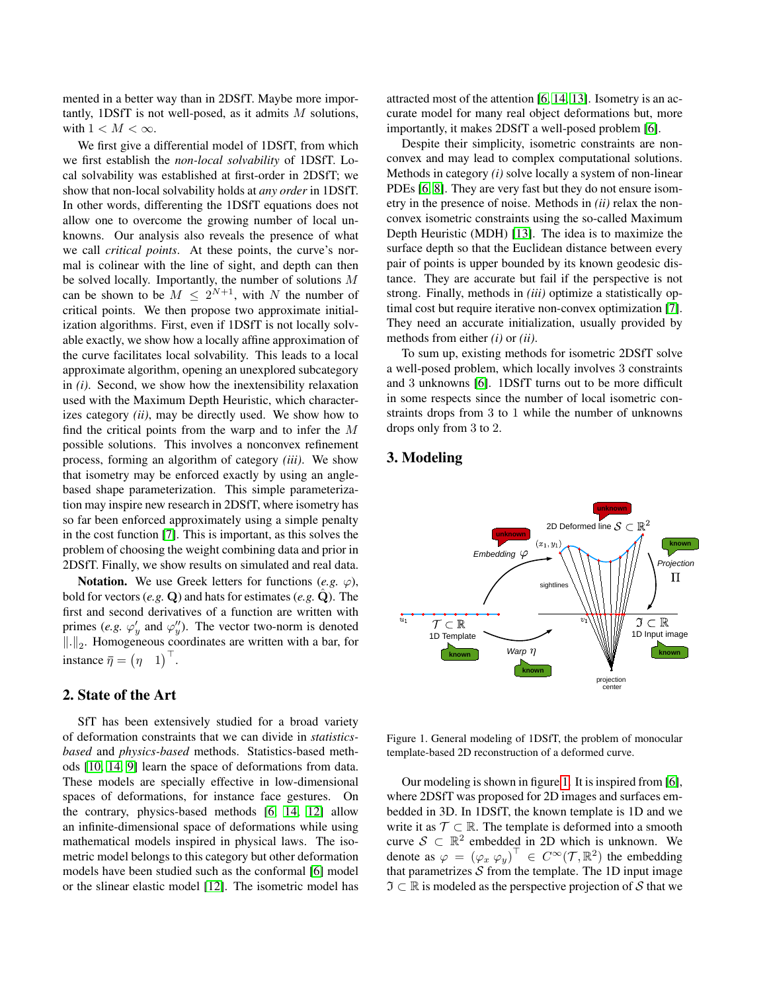mented in a better way than in 2DSfT. Maybe more importantly, 1DSfT is not well-posed, as it admits M solutions, with  $1 < M < \infty$ .

We first give a differential model of 1DSfT, from which we first establish the *non-local solvability* of 1DSfT. Local solvability was established at first-order in 2DSfT; we show that non-local solvability holds at *any order* in 1DSfT. In other words, differenting the 1DSfT equations does not allow one to overcome the growing number of local unknowns. Our analysis also reveals the presence of what we call *critical points*. At these points, the curve's normal is colinear with the line of sight, and depth can then be solved locally. Importantly, the number of solutions M can be shown to be  $M \leq 2^{N+1}$ , with N the number of critical points. We then propose two approximate initialization algorithms. First, even if 1DSfT is not locally solvable exactly, we show how a locally affine approximation of the curve facilitates local solvability. This leads to a local approximate algorithm, opening an unexplored subcategory in *(i)*. Second, we show how the inextensibility relaxation used with the Maximum Depth Heuristic, which characterizes category *(ii)*, may be directly used. We show how to find the critical points from the warp and to infer the M possible solutions. This involves a nonconvex refinement process, forming an algorithm of category *(iii)*. We show that isometry may be enforced exactly by using an anglebased shape parameterization. This simple parameterization may inspire new research in 2DSfT, where isometry has so far been enforced approximately using a simple penalty in the cost function [\[7\]](#page-7-6). This is important, as this solves the problem of choosing the weight combining data and prior in 2DSfT. Finally, we show results on simulated and real data.

**Notation.** We use Greek letters for functions (*e.g.*  $\varphi$ ), bold for vectors  $(e.g. \mathbf{Q})$  and hats for estimates  $(e.g. \mathbf{Q})$ . The first and second derivatives of a function are written with primes (*e.g.*  $\varphi'_y$  and  $\varphi''_y$ ). The vector two-norm is denoted  $\|\cdot\|_2$ . Homogeneous coordinates are written with a bar, for instance  $\overline{\eta} = (\eta \ 1)^{\top}$ .

## 2. State of the Art

SfT has been extensively studied for a broad variety of deformation constraints that we can divide in *statisticsbased* and *physics-based* methods. Statistics-based methods [\[10,](#page-7-7) [14,](#page-7-2) [9\]](#page-7-8) learn the space of deformations from data. These models are specially effective in low-dimensional spaces of deformations, for instance face gestures. On the contrary, physics-based methods [\[6,](#page-7-1) [14,](#page-7-2) [12\]](#page-7-4) allow an infinite-dimensional space of deformations while using mathematical models inspired in physical laws. The isometric model belongs to this category but other deformation models have been studied such as the conformal [\[6\]](#page-7-1) model or the slinear elastic model [\[12\]](#page-7-4). The isometric model has attracted most of the attention [\[6,](#page-7-1) [14,](#page-7-2) [13\]](#page-7-9). Isometry is an accurate model for many real object deformations but, more importantly, it makes 2DSfT a well-posed problem [\[6\]](#page-7-1).

Despite their simplicity, isometric constraints are nonconvex and may lead to complex computational solutions. Methods in category *(i)* solve locally a system of non-linear PDEs [\[6,](#page-7-1) [8\]](#page-7-3). They are very fast but they do not ensure isometry in the presence of noise. Methods in *(ii)* relax the nonconvex isometric constraints using the so-called Maximum Depth Heuristic (MDH) [\[13\]](#page-7-9). The idea is to maximize the surface depth so that the Euclidean distance between every pair of points is upper bounded by its known geodesic distance. They are accurate but fail if the perspective is not strong. Finally, methods in *(iii)* optimize a statistically optimal cost but require iterative non-convex optimization [\[7\]](#page-7-6). They need an accurate initialization, usually provided by methods from either *(i)* or *(ii)*.

To sum up, existing methods for isometric 2DSfT solve a well-posed problem, which locally involves 3 constraints and 3 unknowns [\[6\]](#page-7-1). 1DSfT turns out to be more difficult in some respects since the number of local isometric constraints drops from 3 to 1 while the number of unknowns drops only from 3 to 2.

# 3. Modeling



<span id="page-1-0"></span>Figure 1. General modeling of 1DSfT, the problem of monocular template-based 2D reconstruction of a deformed curve.

Our modeling is shown in figure [1.](#page-1-0) It is inspired from [\[6\]](#page-7-1), where 2DSfT was proposed for 2D images and surfaces embedded in 3D. In 1DSfT, the known template is 1D and we write it as  $\mathcal{T} \subset \mathbb{R}$ . The template is deformed into a smooth curve  $S \subset \mathbb{R}^2$  embedded in 2D which is unknown. We denote as  $\varphi = (\varphi_x \varphi_y)^{\top} \in C^{\infty}(\mathcal{T}, \mathbb{R}^2)$  the embedding that parametrizes  $S$  from the template. The 1D input image  $\mathfrak{I} \subset \mathbb{R}$  is modeled as the perspective projection of S that we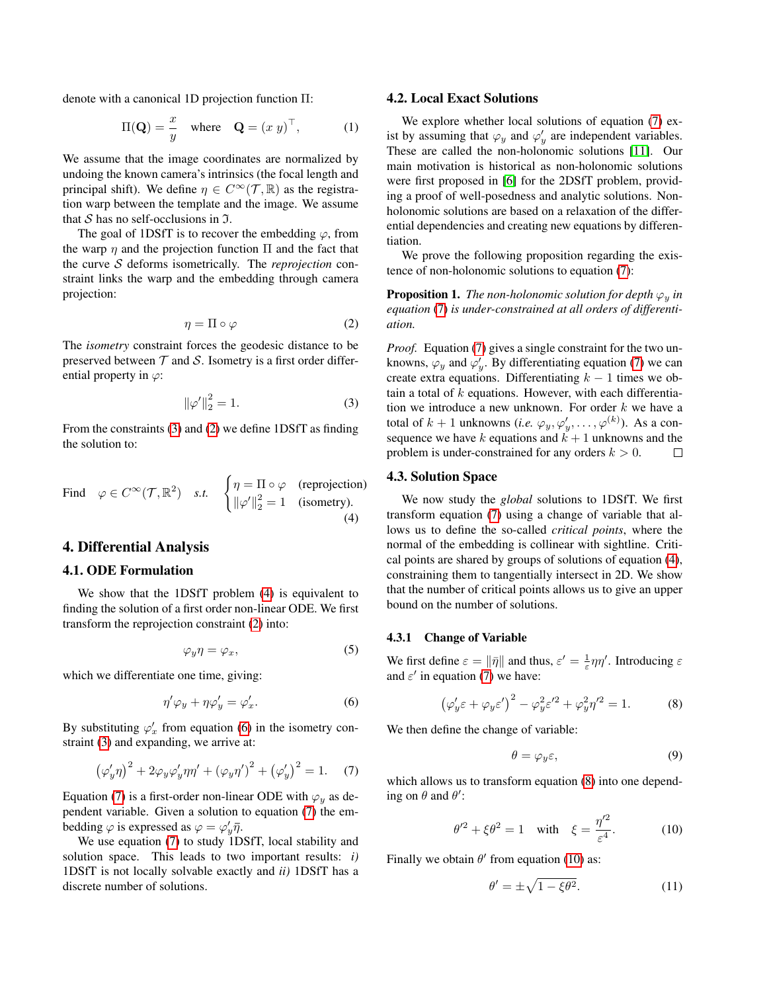denote with a canonical 1D projection function Π:

$$
\Pi(\mathbf{Q}) = \frac{x}{y} \quad \text{where} \quad \mathbf{Q} = (x \ y)^{\top}, \tag{1}
$$

We assume that the image coordinates are normalized by undoing the known camera's intrinsics (the focal length and principal shift). We define  $\eta \in C^{\infty}(\mathcal{T}, \mathbb{R})$  as the registration warp between the template and the image. We assume that  $S$  has no self-occlusions in  $\mathfrak{I}$ .

The goal of 1DSfT is to recover the embedding  $\varphi$ , from the warp  $\eta$  and the projection function  $\Pi$  and the fact that the curve S deforms isometrically. The *reprojection* constraint links the warp and the embedding through camera projection:

<span id="page-2-1"></span>
$$
\eta = \Pi \circ \varphi \tag{2}
$$

The *isometry* constraint forces the geodesic distance to be preserved between  $\mathcal T$  and  $\mathcal S$ . Isometry is a first order differential property in  $\varphi$ :

<span id="page-2-0"></span>
$$
\|\varphi'\|_2^2 = 1.
$$
 (3)

From the constraints [\(3\)](#page-2-0) and [\(2\)](#page-2-1) we define 1DSfT as finding the solution to:

<span id="page-2-2"></span>Find 
$$
\varphi \in C^{\infty}(\mathcal{T}, \mathbb{R}^2)
$$
 s.t.  $\begin{cases} \eta = \Pi \circ \varphi \text{ (reprojection)} \\ \|\varphi'\|_2^2 = 1 \text{ (isometry)}. \end{cases}$  (4)

## 4. Differential Analysis

## 4.1. ODE Formulation

We show that the 1DSfT problem [\(4\)](#page-2-2) is equivalent to finding the solution of a first order non-linear ODE. We first transform the reprojection constraint [\(2\)](#page-2-1) into:

$$
\varphi_y \eta = \varphi_x,\tag{5}
$$

which we differentiate one time, giving:

<span id="page-2-3"></span>
$$
\eta'\varphi_y + \eta\varphi'_y = \varphi'_x. \tag{6}
$$

By substituting  $\varphi'_x$  from equation [\(6\)](#page-2-3) in the isometry constraint [\(3\)](#page-2-0) and expanding, we arrive at:

<span id="page-2-4"></span>
$$
(\varphi'_y \eta)^2 + 2\varphi_y \varphi'_y \eta \eta' + (\varphi_y \eta')^2 + (\varphi'_y)^2 = 1.
$$
 (7)

Equation [\(7\)](#page-2-4) is a first-order non-linear ODE with  $\varphi_y$  as dependent variable. Given a solution to equation [\(7\)](#page-2-4) the embedding  $\varphi$  is expressed as  $\varphi = \varphi'_y \bar{\eta}$ .

We use equation [\(7\)](#page-2-4) to study 1DSfT, local stability and solution space. This leads to two important results: *i)* 1DSfT is not locally solvable exactly and *ii)* 1DSfT has a discrete number of solutions.

#### 4.2. Local Exact Solutions

We explore whether local solutions of equation [\(7\)](#page-2-4) exist by assuming that  $\varphi_y$  and  $\varphi'_y$  are independent variables. These are called the non-holonomic solutions [\[11\]](#page-7-10). Our main motivation is historical as non-holonomic solutions were first proposed in [\[6\]](#page-7-1) for the 2DSfT problem, providing a proof of well-posedness and analytic solutions. Nonholonomic solutions are based on a relaxation of the differential dependencies and creating new equations by differentiation.

We prove the following proposition regarding the existence of non-holonomic solutions to equation [\(7\)](#page-2-4):

<span id="page-2-9"></span>**Proposition 1.** *The non-holonomic solution for depth*  $\varphi_y$  *in equation* [\(7\)](#page-2-4) *is under-constrained at all orders of differentiation.*

*Proof.* Equation [\(7\)](#page-2-4) gives a single constraint for the two unknowns,  $\varphi_y$  and  $\varphi'_y$ . By differentiating equation [\(7\)](#page-2-4) we can create extra equations. Differentiating  $k - 1$  times we obtain a total of  $k$  equations. However, with each differentiation we introduce a new unknown. For order  $k$  we have a total of  $k + 1$  unknowns (*i.e.*  $\varphi_y, \varphi'_y, \ldots, \varphi^{(k)}$ ). As a consequence we have k equations and  $k + 1$  unknowns and the problem is under-constrained for any orders  $k > 0$ .  $\Box$ 

### 4.3. Solution Space

We now study the *global* solutions to 1DSfT. We first transform equation [\(7\)](#page-2-4) using a change of variable that allows us to define the so-called *critical points*, where the normal of the embedding is collinear with sightline. Critical points are shared by groups of solutions of equation [\(4\)](#page-2-2), constraining them to tangentially intersect in 2D. We show that the number of critical points allows us to give an upper bound on the number of solutions.

#### 4.3.1 Change of Variable

We first define  $\varepsilon = ||\bar{\eta}||$  and thus,  $\varepsilon' = \frac{1}{\varepsilon} \eta \eta'$ . Introducing  $\varepsilon$ and  $\varepsilon'$  in equation [\(7\)](#page-2-4) we have:

<span id="page-2-5"></span>
$$
\left(\varphi_y' \varepsilon + \varphi_y \varepsilon'\right)^2 - \varphi_y^2 \varepsilon'^2 + \varphi_y^2 \eta'^2 = 1.
$$
 (8)

We then define the change of variable:

<span id="page-2-8"></span>
$$
\theta = \varphi_y \varepsilon,\tag{9}
$$

which allows us to transform equation  $(8)$  into one depending on  $\theta$  and  $\theta$ :

<span id="page-2-6"></span>
$$
\theta'^2 + \xi \theta^2 = 1 \quad \text{with} \quad \xi = \frac{\eta'^2}{\varepsilon^4}.
$$
 (10)

Finally we obtain  $\theta'$  from equation [\(10\)](#page-2-6) as:

<span id="page-2-7"></span>
$$
\theta' = \pm \sqrt{1 - \xi \theta^2}.
$$
 (11)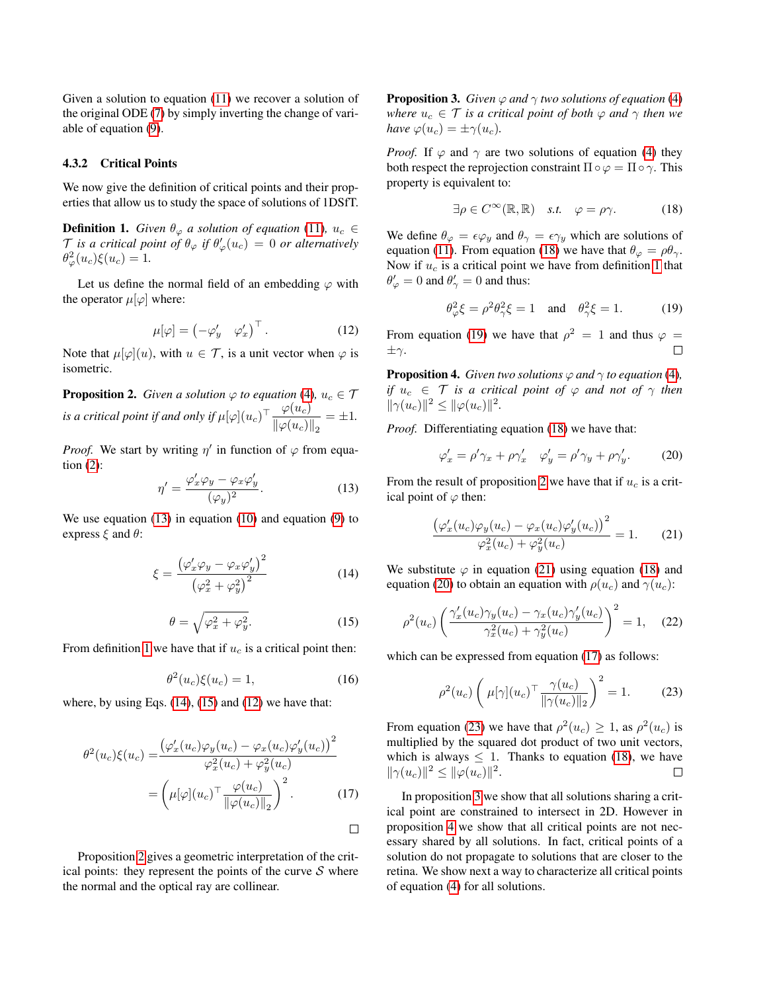Given a solution to equation [\(11\)](#page-2-7) we recover a solution of the original ODE [\(7\)](#page-2-4) by simply inverting the change of variable of equation [\(9\)](#page-2-8).

### 4.3.2 Critical Points

We now give the definition of critical points and their properties that allow us to study the space of solutions of 1DSfT.

<span id="page-3-1"></span>**Definition 1.** *Given*  $\theta_{\varphi}$  *a solution of equation* [\(11\)](#page-2-7)*,*  $u_c \in$  $\mathcal T$  *is a critical point of*  $\theta_{\varphi}$  *if*  $\theta'_{\varphi}(u_c) = 0$  *or alternatively*  $\theta_{\varphi}^2(u_c)\xi(u_c)=1.$ 

Let us define the normal field of an embedding  $\varphi$  with the operator  $\mu[\varphi]$  where:

<span id="page-3-4"></span>
$$
\mu[\varphi] = \begin{pmatrix} -\varphi'_y & \varphi'_x \end{pmatrix}^\top.
$$
 (12)

Note that  $\mu[\varphi](u)$ , with  $u \in \mathcal{T}$ , is a unit vector when  $\varphi$  is isometric.

<span id="page-3-5"></span>**Proposition 2.** *Given a solution*  $\varphi$  *to equation* [\(4\)](#page-2-2),  $u_c \in \mathcal{T}$ *is a critical point if and only if*  $\mu[\varphi](u_c)^\top \frac{\varphi(u_c)}{\mathbb{L}(\mathcal{L}(\mathcal{L}))}$  $\frac{\varphi(w_c)}{\|\varphi(u_c)\|_2} = \pm 1.$ 

*Proof.* We start by writing  $\eta'$  in function of  $\varphi$  from equation  $(2)$ :

<span id="page-3-0"></span>
$$
\eta' = \frac{\varphi_x' \varphi_y - \varphi_x \varphi_y'}{(\varphi_y)^2}.
$$
\n(13)

We use equation [\(13\)](#page-3-0) in equation [\(10\)](#page-2-6) and equation [\(9\)](#page-2-8) to express  $\xi$  and  $\theta$ :

<span id="page-3-2"></span>
$$
\xi = \frac{\left(\varphi_x'\varphi_y - \varphi_x\varphi_y'\right)^2}{\left(\varphi_x^2 + \varphi_y^2\right)^2} \tag{14}
$$

<span id="page-3-3"></span>
$$
\theta = \sqrt{\varphi_x^2 + \varphi_y^2}.\tag{15}
$$

From definition [1](#page-3-1) we have that if  $u_c$  is a critical point then:

$$
\theta^2(u_c)\xi(u_c) = 1,\tag{16}
$$

<span id="page-3-10"></span> $\Box$ 

where, by using Eqs.  $(14)$ ,  $(15)$  and  $(12)$  we have that:

$$
\theta^2(u_c)\xi(u_c) = \frac{\left(\varphi_x'(u_c)\varphi_y(u_c) - \varphi_x(u_c)\varphi_y'(u_c)\right)^2}{\varphi_x^2(u_c) + \varphi_y^2(u_c)}
$$

$$
= \left(\mu[\varphi](u_c)^\top \frac{\varphi(u_c)}{\|\varphi(u_c)\|_2}\right)^2. \tag{17}
$$

Proposition [2](#page-3-5) gives a geometric interpretation of the critical points: they represent the points of the curve  $S$  where the normal and the optical ray are collinear.

<span id="page-3-12"></span>**Proposition 3.** *Given*  $\varphi$  *and*  $\gamma$  *two solutions of equation* [\(4\)](#page-2-2) *where*  $u_c \in \mathcal{T}$  *is a critical point of both*  $\varphi$  *and*  $\gamma$  *then we have*  $\varphi(u_c) = \pm \gamma(u_c)$ .

*Proof.* If  $\varphi$  and  $\gamma$  are two solutions of equation [\(4\)](#page-2-2) they both respect the reprojection constraint  $\Pi \circ \varphi = \Pi \circ \gamma$ . This property is equivalent to:

<span id="page-3-6"></span>
$$
\exists \rho \in C^{\infty}(\mathbb{R}, \mathbb{R}) \quad s.t. \quad \varphi = \rho \gamma. \tag{18}
$$

We define  $\theta_{\varphi} = \epsilon \varphi_y$  and  $\theta_{\gamma} = \epsilon \gamma_y$  which are solutions of equation [\(11\)](#page-2-7). From equation [\(18\)](#page-3-6) we have that  $\theta_{\varphi} = \rho \theta_{\gamma}$ . Now if  $u_c$  is a critical point we have from definition [1](#page-3-1) that  $\theta'_{\varphi} = 0$  and  $\theta'_{\gamma} = 0$  and thus:

<span id="page-3-7"></span>
$$
\theta_{\varphi}^2 \xi = \rho^2 \theta_{\gamma}^2 \xi = 1 \quad \text{and} \quad \theta_{\gamma}^2 \xi = 1. \tag{19}
$$

From equation [\(19\)](#page-3-7) we have that  $\rho^2 = 1$  and thus  $\varphi =$  $\Box$  $\pm \gamma$ .

<span id="page-3-13"></span>**Proposition 4.** *Given two solutions*  $\varphi$  *and*  $\gamma$  *to equation* [\(4\)](#page-2-2)*, if*  $u_c \in \mathcal{T}$  *is a critical point of*  $\varphi$  *and not of*  $\gamma$  *then*  $\|\gamma(u_c)\|^2 \leq \|\varphi(u_c)\|^2.$ 

*Proof.* Differentiating equation [\(18\)](#page-3-6) we have that:

<span id="page-3-9"></span>
$$
\varphi'_x = \rho' \gamma_x + \rho \gamma'_x \quad \varphi'_y = \rho' \gamma_y + \rho \gamma'_y. \tag{20}
$$

From the result of proposition [2](#page-3-5) we have that if  $u_c$  is a critical point of  $\varphi$  then:

<span id="page-3-8"></span>
$$
\frac{(\varphi_x'(u_c)\varphi_y(u_c) - \varphi_x(u_c)\varphi_y'(u_c))^{2}}{\varphi_x^2(u_c) + \varphi_y^2(u_c)} = 1.
$$
 (21)

We substitute  $\varphi$  in equation [\(21\)](#page-3-8) using equation [\(18\)](#page-3-6) and equation [\(20\)](#page-3-9) to obtain an equation with  $\rho(u_c)$  and  $\gamma(u_c)$ :

$$
\rho^2(u_c) \left( \frac{\gamma_x'(u_c)\gamma_y(u_c) - \gamma_x(u_c)\gamma_y'(u_c)}{\gamma_x^2(u_c) + \gamma_y^2(u_c)} \right)^2 = 1, \quad (22)
$$

which can be expressed from equation [\(17\)](#page-3-10) as follows:

<span id="page-3-11"></span>
$$
\rho^2(u_c)\left(\mu[\gamma](u_c)^\top \frac{\gamma(u_c)}{\|\gamma(u_c)\|_2}\right)^2 = 1. \tag{23}
$$

From equation [\(23\)](#page-3-11) we have that  $\rho^2(u_c) \ge 1$ , as  $\rho^2(u_c)$  is multiplied by the squared dot product of two unit vectors, which is always  $\leq 1$ . Thanks to equation [\(18\)](#page-3-6), we have  $\|\gamma(u_c)\|^2 \leq \|\varphi(u_c)\|^2.$  $\Box$ 

In proposition [3](#page-3-12) we show that all solutions sharing a critical point are constrained to intersect in 2D. However in proposition [4](#page-3-13) we show that all critical points are not necessary shared by all solutions. In fact, critical points of a solution do not propagate to solutions that are closer to the retina. We show next a way to characterize all critical points of equation [\(4\)](#page-2-2) for all solutions.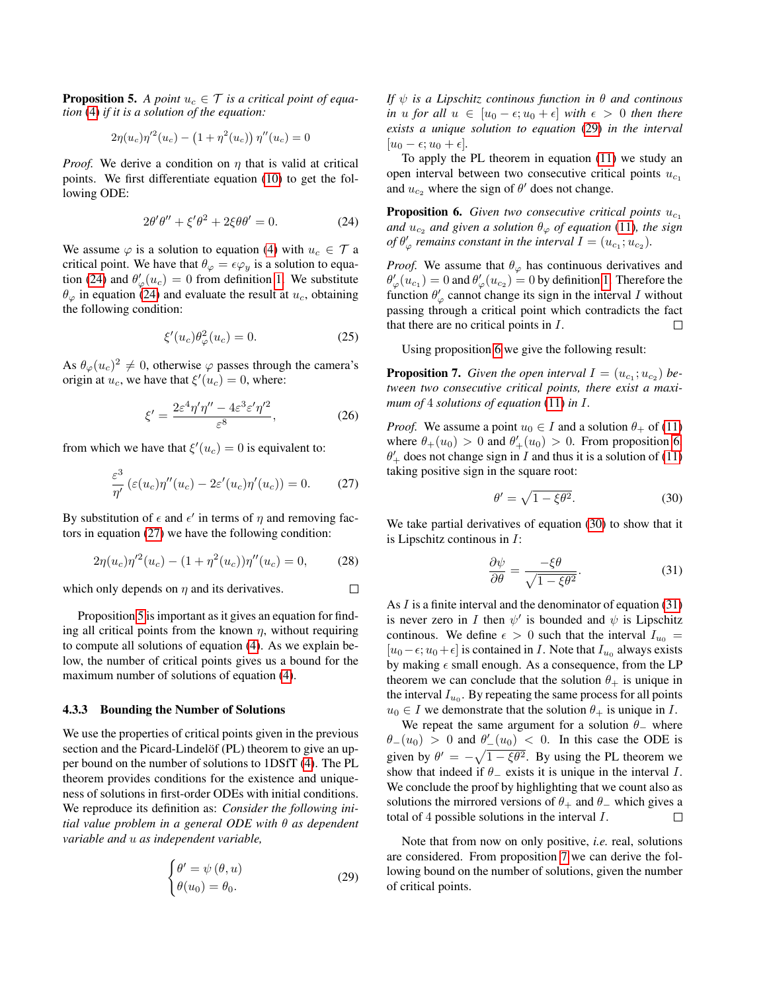<span id="page-4-2"></span>**Proposition 5.** A point  $u_c \in \mathcal{T}$  is a critical point of equa*tion* [\(4\)](#page-2-2) *if it is a solution of the equation:*

$$
2\eta(u_c)\eta'^2(u_c) - (1+\eta^2(u_c))\eta''(u_c) = 0
$$

*Proof.* We derive a condition on  $\eta$  that is valid at critical points. We first differentiate equation [\(10\)](#page-2-6) to get the following ODE:

<span id="page-4-0"></span>
$$
2\theta'\theta'' + \xi'\theta^2 + 2\xi\theta\theta' = 0.
$$
 (24)

We assume  $\varphi$  is a solution to equation [\(4\)](#page-2-2) with  $u_c \in \mathcal{T}$  a critical point. We have that  $\theta_{\varphi} = \epsilon \varphi_y$  is a solution to equa-tion [\(24\)](#page-4-0) and  $\theta'_{\varphi}(u_c) = 0$  from definition [1.](#page-3-1) We substitute  $\theta_{\varphi}$  in equation [\(24\)](#page-4-0) and evaluate the result at  $u_c$ , obtaining the following condition:

$$
\xi'(u_c)\theta_{\varphi}^2(u_c) = 0. \tag{25}
$$

As  $\theta_{\varphi}(u_c)^2 \neq 0$ , otherwise  $\varphi$  passes through the camera's origin at  $u_c$ , we have that  $\xi'(u_c) = 0$ , where:

$$
\xi' = \frac{2\varepsilon^4 \eta' \eta'' - 4\varepsilon^3 \varepsilon' \eta'^2}{\varepsilon^8},\tag{26}
$$

from which we have that  $\xi'(u_c) = 0$  is equivalent to:

<span id="page-4-1"></span>
$$
\frac{\varepsilon^3}{\eta'}\left(\varepsilon(u_c)\eta''(u_c) - 2\varepsilon'(u_c)\eta'(u_c)\right) = 0. \tag{27}
$$

By substitution of  $\epsilon$  and  $\epsilon'$  in terms of  $\eta$  and removing factors in equation [\(27\)](#page-4-1) we have the following condition:

$$
2\eta(u_c)\eta'^2(u_c) - (1+\eta^2(u_c))\eta''(u_c) = 0, \qquad (28)
$$

 $\Box$ which only depends on  $\eta$  and its derivatives.

Proposition [5](#page-4-2) is important as it gives an equation for finding all critical points from the known  $\eta$ , without requiring to compute all solutions of equation [\(4\)](#page-2-2). As we explain below, the number of critical points gives us a bound for the maximum number of solutions of equation [\(4\)](#page-2-2).

### 4.3.3 Bounding the Number of Solutions

We use the properties of critical points given in the previous section and the Picard-Lindelöf (PL) theorem to give an upper bound on the number of solutions to 1DSfT [\(4\)](#page-2-2). The PL theorem provides conditions for the existence and uniqueness of solutions in first-order ODEs with initial conditions. We reproduce its definition as: *Consider the following initial value problem in a general ODE with* θ *as dependent variable and* u *as independent variable,*

<span id="page-4-3"></span>
$$
\begin{cases}\n\theta' = \psi(\theta, u) \\
\theta(u_0) = \theta_0.\n\end{cases}
$$
\n(29)

*If* ψ *is a Lipschitz continous function in* θ *and continous in* u for all  $u \in [u_0 - \epsilon; u_0 + \epsilon]$  with  $\epsilon > 0$  then there *exists a unique solution to equation* [\(29\)](#page-4-3) *in the interval*  $[u_0 - \epsilon; u_0 + \epsilon]$ *.* 

To apply the PL theorem in equation [\(11\)](#page-2-7) we study an open interval between two consecutive critical points  $u_{c_1}$ and  $u_{c_2}$  where the sign of  $\theta'$  does not change.

<span id="page-4-4"></span>**Proposition 6.** *Given two consecutive critical points*  $u_{c_1}$ *and*  $u_{c_2}$  *and* given a solution  $\theta_{\varphi}$  of equation [\(11\)](#page-2-7), the sign *of*  $\theta'_{\varphi}$  remains constant in the interval  $I = (u_{c_1}; u_{c_2})$ .

*Proof.* We assume that  $\theta_{\varphi}$  has continuous derivatives and  $\theta'_{\varphi}(u_{c_1}) = 0$  and  $\theta'_{\varphi}(u_{c_2}) = 0$  by definition [1.](#page-3-1) Therefore the function  $\theta'_{\varphi}$  cannot change its sign in the interval I without passing through a critical point which contradicts the fact that there are no critical points in  $I$ .  $\Box$ 

Using proposition [6](#page-4-4) we give the following result:

<span id="page-4-7"></span>**Proposition 7.** Given the open interval  $I = (u_{c_1}; u_{c_2})$  be*tween two consecutive critical points, there exist a maximum of* 4 *solutions of equation* [\(11\)](#page-2-7) *in* I*.*

*Proof.* We assume a point  $u_0 \in I$  and a solution  $\theta_+$  of [\(11\)](#page-2-7) where  $\theta_+(u_0) > 0$  and  $\theta'_+(u_0) > 0$ . From proposition [6,](#page-4-4)  $\theta'_{+}$  does not change sign in I and thus it is a solution of [\(11\)](#page-2-7) taking positive sign in the square root:

<span id="page-4-5"></span>
$$
\theta' = \sqrt{1 - \xi \theta^2}.\tag{30}
$$

We take partial derivatives of equation [\(30\)](#page-4-5) to show that it is Lipschitz continous in I:

<span id="page-4-6"></span>
$$
\frac{\partial \psi}{\partial \theta} = \frac{-\xi \theta}{\sqrt{1 - \xi \theta^2}}.
$$
(31)

As  $I$  is a finite interval and the denominator of equation [\(31\)](#page-4-6) is never zero in I then  $\psi'$  is bounded and  $\psi$  is Lipschitz continous. We define  $\epsilon > 0$  such that the interval  $I_{u_0} =$  $[u_0-\epsilon; u_0+\epsilon]$  is contained in *I*. Note that  $I_{u_0}$  always exists by making  $\epsilon$  small enough. As a consequence, from the LP theorem we can conclude that the solution  $\theta_+$  is unique in the interval  $I_{u_0}$ . By repeating the same process for all points  $u_0 \in I$  we demonstrate that the solution  $\theta_+$  is unique in I.

We repeat the same argument for a solution  $\theta$ <sub>-</sub> where  $\theta_-(u_0) > 0$  and  $\theta_-'(u_0) < 0$ . In this case the ODE is given by  $\theta' = -\sqrt{1 - \xi \theta^2}$ . By using the PL theorem we show that indeed if  $\theta$ <sub>-</sub> exists it is unique in the interval *I*. We conclude the proof by highlighting that we count also as solutions the mirrored versions of  $\theta_+$  and  $\theta_-$  which gives a total of 4 possible solutions in the interval I.  $\Box$ 

Note that from now on only positive, *i.e.* real, solutions are considered. From proposition [7](#page-4-7) we can derive the following bound on the number of solutions, given the number of critical points.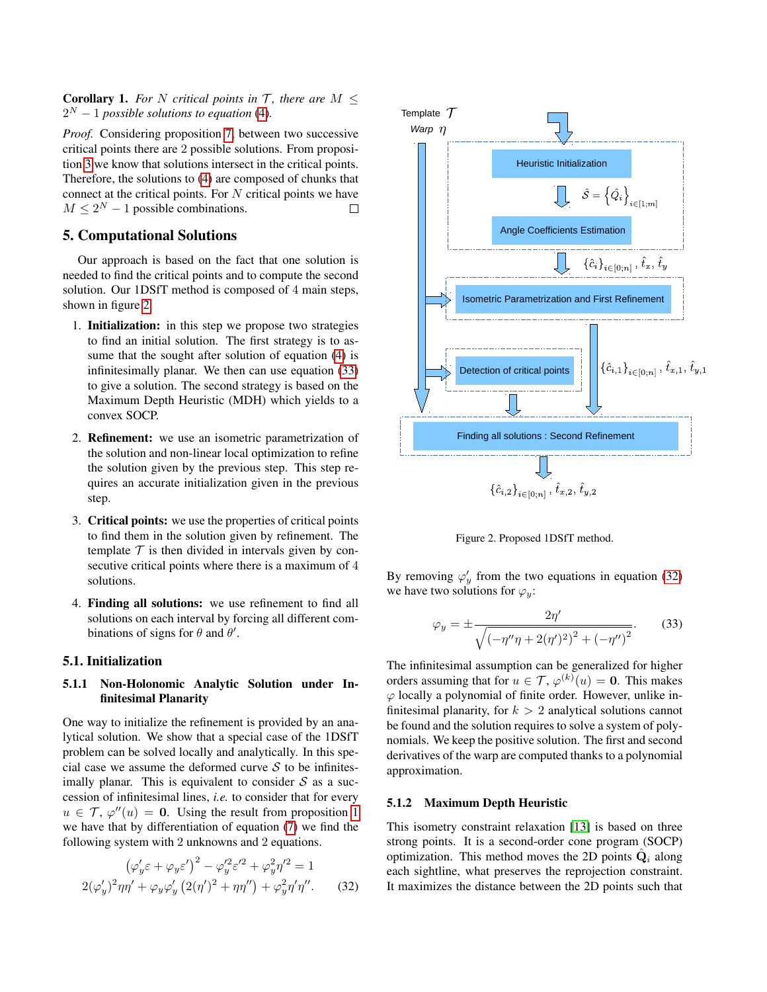**Corollary 1.** For N critical points in  $T$ , there are  $M <$  $2^N - 1$  *possible solutions to equation* [\(4\)](#page-2-2).

*Proof.* Considering proposition [7,](#page-4-7) between two successive critical points there are 2 possible solutions. From proposition [3](#page-3-12) we know that solutions intersect in the critical points. Therefore, the solutions to [\(4\)](#page-2-2) are composed of chunks that connect at the critical points. For  $N$  critical points we have  $M \leq 2^N - 1$  possible combinations.  $\Box$ 

# 5. Computational Solutions

Our approach is based on the fact that one solution is needed to find the critical points and to compute the second solution. Our 1DSfT method is composed of 4 main steps, shown in figure [2:](#page-5-0)

- 1. Initialization: in this step we propose two strategies to find an initial solution. The first strategy is to assume that the sought after solution of equation [\(4\)](#page-2-2) is infinitesimally planar. We then can use equation [\(33\)](#page-5-1) to give a solution. The second strategy is based on the Maximum Depth Heuristic (MDH) which yields to a convex SOCP.
- 2. Refinement: we use an isometric parametrization of the solution and non-linear local optimization to refine the solution given by the previous step. This step requires an accurate initialization given in the previous step.
- 3. Critical points: we use the properties of critical points to find them in the solution given by refinement. The template  $\mathcal T$  is then divided in intervals given by consecutive critical points where there is a maximum of 4 solutions.
- 4. Finding all solutions: we use refinement to find all solutions on each interval by forcing all different combinations of signs for  $\theta$  and  $\theta'$ .

### 5.1. Initialization

### <span id="page-5-4"></span>5.1.1 Non-Holonomic Analytic Solution under Infinitesimal Planarity

One way to initialize the refinement is provided by an analytical solution. We show that a special case of the 1DSfT problem can be solved locally and analytically. In this special case we assume the deformed curve  $S$  to be infinitesimally planar. This is equivalent to consider  $S$  as a succession of infinitesimal lines, *i.e.* to consider that for every  $u \in \mathcal{T}$ ,  $\varphi''(u) = 0$ . Using the result from proposition [1](#page-2-9) we have that by differentiation of equation [\(7\)](#page-2-4) we find the following system with 2 unknowns and 2 equations.

<span id="page-5-2"></span>
$$
(\varphi_y' \varepsilon + \varphi_y \varepsilon')^2 - \varphi_y'^2 \varepsilon'^2 + \varphi_y^2 \eta'^2 = 1
$$
  
2( $\varphi_y' \, \frac{2\eta\eta'}{+ \varphi_y \varphi_y'} \left( \frac{2(\eta')^2 + \eta\eta''}{+ \varphi_y^2 \eta'} \right) + \varphi_y^2 \eta' \eta''.$  (32)



<span id="page-5-0"></span>Figure 2. Proposed 1DSfT method.

By removing  $\varphi'_y$  from the two equations in equation [\(32\)](#page-5-2) we have two solutions for  $\varphi_y$ :

<span id="page-5-1"></span>
$$
\varphi_y = \pm \frac{2\eta'}{\sqrt{(-\eta''\eta + 2(\eta')^2)^2 + (-\eta'')^2}}.
$$
 (33)

The infinitesimal assumption can be generalized for higher orders assuming that for  $u \in \mathcal{T}$ ,  $\varphi^{(k)}(u) = 0$ . This makes  $\varphi$  locally a polynomial of finite order. However, unlike infinitesimal planarity, for  $k > 2$  analytical solutions cannot be found and the solution requires to solve a system of polynomials. We keep the positive solution. The first and second derivatives of the warp are computed thanks to a polynomial approximation.

#### <span id="page-5-3"></span>5.1.2 Maximum Depth Heuristic

This isometry constraint relaxation [\[13\]](#page-7-9) is based on three strong points. It is a second-order cone program (SOCP) optimization. This method moves the 2D points  $\hat{Q}_i$  along each sightline, what preserves the reprojection constraint. It maximizes the distance between the 2D points such that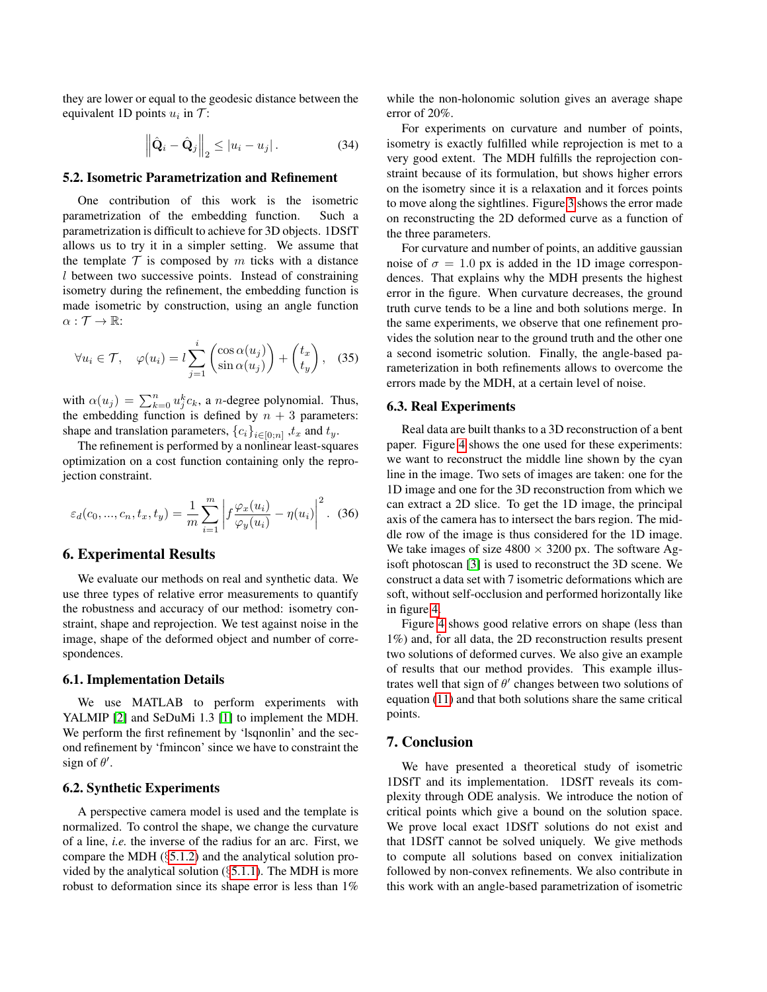they are lower or equal to the geodesic distance between the equivalent 1D points  $u_i$  in  $\mathcal{T}$ :

$$
\left\| \hat{\mathbf{Q}}_i - \hat{\mathbf{Q}}_j \right\|_2 \le |u_i - u_j|.
$$
 (34)

### 5.2. Isometric Parametrization and Refinement

One contribution of this work is the isometric parametrization of the embedding function. Such a parametrization is difficult to achieve for 3D objects. 1DSfT allows us to try it in a simpler setting. We assume that the template  $\mathcal T$  is composed by m ticks with a distance l between two successive points. Instead of constraining isometry during the refinement, the embedding function is made isometric by construction, using an angle function  $\alpha: \mathcal{T} \to \mathbb{R}$ :

$$
\forall u_i \in \mathcal{T}, \quad \varphi(u_i) = l \sum_{j=1}^i \begin{pmatrix} \cos \alpha(u_j) \\ \sin \alpha(u_j) \end{pmatrix} + \begin{pmatrix} t_x \\ t_y \end{pmatrix}, \quad (35)
$$

with  $\alpha(u_j) = \sum_{k=0}^n u_j^k c_k$ , a *n*-degree polynomial. Thus, the embedding function is defined by  $n + 3$  parameters: shape and translation parameters,  ${c_i}_{i \in [0;n]}$  ,  $t_x$  and  $t_y$ .

The refinement is performed by a nonlinear least-squares optimization on a cost function containing only the reprojection constraint.

$$
\varepsilon_d(c_0, ..., c_n, t_x, t_y) = \frac{1}{m} \sum_{i=1}^m \left| f \frac{\varphi_x(u_i)}{\varphi_y(u_i)} - \eta(u_i) \right|^2.
$$
 (36)

### 6. Experimental Results

We evaluate our methods on real and synthetic data. We use three types of relative error measurements to quantify the robustness and accuracy of our method: isometry constraint, shape and reprojection. We test against noise in the image, shape of the deformed object and number of correspondences.

### 6.1. Implementation Details

We use MATLAB to perform experiments with YALMIP [\[2\]](#page-7-11) and SeDuMi 1.3 [\[1\]](#page-7-12) to implement the MDH. We perform the first refinement by 'lsqnonlin' and the second refinement by 'fmincon' since we have to constraint the sign of  $\theta'$ .

### 6.2. Synthetic Experiments

A perspective camera model is used and the template is normalized. To control the shape, we change the curvature of a line, *i.e.* the inverse of the radius for an arc. First, we compare the MDH (§[5.1.2\)](#page-5-3) and the analytical solution provided by the analytical solution  $(\S 5.1.1)$  $(\S 5.1.1)$ . The MDH is more robust to deformation since its shape error is less than 1%

while the non-holonomic solution gives an average shape error of 20%.

For experiments on curvature and number of points, isometry is exactly fulfilled while reprojection is met to a very good extent. The MDH fulfills the reprojection constraint because of its formulation, but shows higher errors on the isometry since it is a relaxation and it forces points to move along the sightlines. Figure [3](#page-7-13) shows the error made on reconstructing the 2D deformed curve as a function of the three parameters.

For curvature and number of points, an additive gaussian noise of  $\sigma = 1.0$  px is added in the 1D image correspondences. That explains why the MDH presents the highest error in the figure. When curvature decreases, the ground truth curve tends to be a line and both solutions merge. In the same experiments, we observe that one refinement provides the solution near to the ground truth and the other one a second isometric solution. Finally, the angle-based parameterization in both refinements allows to overcome the errors made by the MDH, at a certain level of noise.

#### 6.3. Real Experiments

Real data are built thanks to a 3D reconstruction of a bent paper. Figure [4](#page-7-14) shows the one used for these experiments: we want to reconstruct the middle line shown by the cyan line in the image. Two sets of images are taken: one for the 1D image and one for the 3D reconstruction from which we can extract a 2D slice. To get the 1D image, the principal axis of the camera has to intersect the bars region. The middle row of the image is thus considered for the 1D image. We take images of size  $4800 \times 3200$  px. The software Agisoft photoscan [\[3\]](#page-7-15) is used to reconstruct the 3D scene. We construct a data set with 7 isometric deformations which are soft, without self-occlusion and performed horizontally like in figure [4.](#page-7-14)

Figure [4](#page-7-14) shows good relative errors on shape (less than 1%) and, for all data, the 2D reconstruction results present two solutions of deformed curves. We also give an example of results that our method provides. This example illustrates well that sign of  $\theta'$  changes between two solutions of equation [\(11\)](#page-2-7) and that both solutions share the same critical points.

## 7. Conclusion

We have presented a theoretical study of isometric 1DSfT and its implementation. 1DSfT reveals its complexity through ODE analysis. We introduce the notion of critical points which give a bound on the solution space. We prove local exact 1DSfT solutions do not exist and that 1DSfT cannot be solved uniquely. We give methods to compute all solutions based on convex initialization followed by non-convex refinements. We also contribute in this work with an angle-based parametrization of isometric